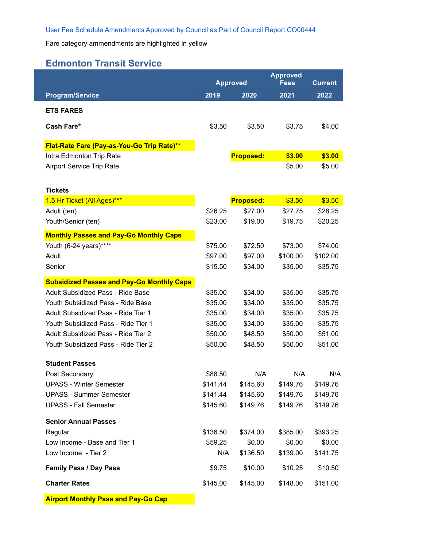Fare category ammendments are highlighted in yellow

## **Edmonton Transit Service**

|                                                  |                     | <b>Approved</b><br><b>Approved</b> |             |                |
|--------------------------------------------------|---------------------|------------------------------------|-------------|----------------|
|                                                  |                     |                                    | <b>Fees</b> | <b>Current</b> |
| <b>Program/Service</b>                           | 2019                | 2020                               | 2021        | 2022           |
| <b>ETS FARES</b>                                 |                     |                                    |             |                |
| Cash Fare*                                       | \$3.50              | \$3.50                             | \$3.75      | \$4.00         |
|                                                  |                     |                                    |             |                |
| Flat-Rate Fare (Pay-as-You-Go Trip Rate)**       |                     |                                    |             |                |
| Intra Edmonton Trip Rate                         |                     | <b>Proposed:</b>                   | \$3.00      | \$3.00         |
| <b>Airport Service Trip Rate</b>                 |                     |                                    | \$5.00      | \$5.00         |
|                                                  |                     |                                    |             |                |
| <b>Tickets</b>                                   |                     |                                    |             |                |
| 1.5 Hr Ticket (All Ages)***                      |                     | <b>Proposed:</b>                   | \$3.50      | \$3.50         |
| Adult (ten)                                      | \$26.25             | \$27.00                            | \$27.75     | \$28.25        |
| Youth/Senior (ten)                               | \$23.00             | \$19.00                            | \$19.75     | \$20.25        |
| <b>Monthly Passes and Pay-Go Monthly Caps</b>    |                     |                                    |             |                |
| Youth (6-24 years)****                           | \$75.00             | \$72.50                            | \$73.00     | \$74.00        |
| Adult                                            | \$97.00             | \$97.00                            | \$100.00    | \$102.00       |
| Senior                                           | \$15.50             | \$34.00                            | \$35.00     | \$35.75        |
| <b>Subsidized Passes and Pay-Go Monthly Caps</b> |                     |                                    |             |                |
| Adult Subsidized Pass - Ride Base                | \$35.00             | \$34.00                            | \$35.00     | \$35.75        |
| Youth Subsidized Pass - Ride Base                | \$35.00             | \$34.00                            | \$35.00     | \$35.75        |
| Adult Subsidized Pass - Ride Tier 1              | \$35.00             | \$34.00                            | \$35.00     | \$35.75        |
| Youth Subsidized Pass - Ride Tier 1              | \$35.00             | \$34.00                            | \$35.00     | \$35.75        |
| Adult Subsidized Pass - Ride Tier 2              | \$50.00             | \$48.50                            | \$50.00     | \$51.00        |
| Youth Subsidized Pass - Ride Tier 2              | \$50.00             | \$48.50                            | \$50.00     | \$51.00        |
|                                                  |                     |                                    |             |                |
| <b>Student Passes</b>                            |                     | N/A                                | N/A         | N/A            |
| Post Secondary<br><b>UPASS - Winter Semester</b> | \$88.50<br>\$141.44 | \$145.60                           | \$149.76    | \$149.76       |
| <b>UPASS - Summer Semester</b>                   | \$141.44            | \$145.60                           | \$149.76    | \$149.76       |
| <b>UPASS - Fall Semester</b>                     | \$145.60            | \$149.76                           | \$149.76    | \$149.76       |
|                                                  |                     |                                    |             |                |
| <b>Senior Annual Passes</b>                      |                     |                                    |             |                |
| Regular                                          | \$136.50            | \$374.00                           | \$385.00    | \$393.25       |
| Low Income - Base and Tier 1                     | \$59.25             | \$0.00                             | \$0.00      | \$0.00         |
| Low Income - Tier 2                              | N/A                 | \$136.50                           | \$139.00    | \$141.75       |
| <b>Family Pass / Day Pass</b>                    | \$9.75              | \$10.00                            | \$10.25     | \$10.50        |
| <b>Charter Rates</b>                             | \$145.00            | \$145.00                           | \$148.00    | \$151.00       |
| <b>Airport Monthly Pass and Pay-Go Cap</b>       |                     |                                    |             |                |